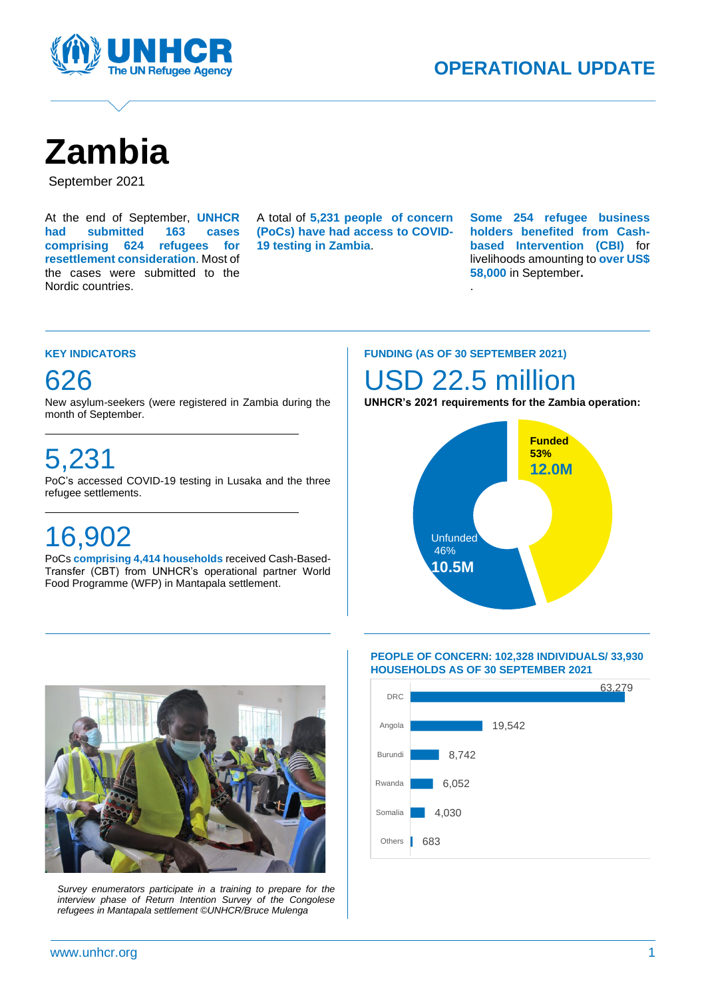

# **Zambia**

September 2021

At the end of September, **UNHCR had submitted 163 cases comprising 624 refugees for resettlement consideration**. Most of the cases were submitted to the Nordic countries.

A total of **5,231 people of concern (PoCs) have had access to COVID-19 testing in Zambia**.

A

**Some 254 refugee business holders benefited from Cashbased Intervention (CBI)** for livelihoods amounting to **over US\$ 58,000** in September**.**

#### **KEY INDICATORS**

### 626

New asylum-seekers (were registered in Zambia during the month of September.

### 5,231

PoC's accessed COVID-19 testing in Lusaka and the three refugee settlements.

## 16,902

PoCs **comprising 4,414 households** received Cash-Based-Transfer (CBT) from UNHCR's operational partner World Food Programme (WFP) in Mantapala settlement.

#### **FUNDING (AS OF 30 SEPTEMBER 2021)**

### SD 22.5 million

.

**UNHCR's 2021 requirements for the Zambia operation:**





*Survey enumerators participate in a training to prepare for the interview phase of Return Intention Survey of the Congolese refugees in Mantapala settlement ©UNHCR/Bruce Mulenga*

#### **PEOPLE OF CONCERN: 102,328 INDIVIDUALS/ 33,930 HOUSEHOLDS AS OF 30 SEPTEMBER 2021**

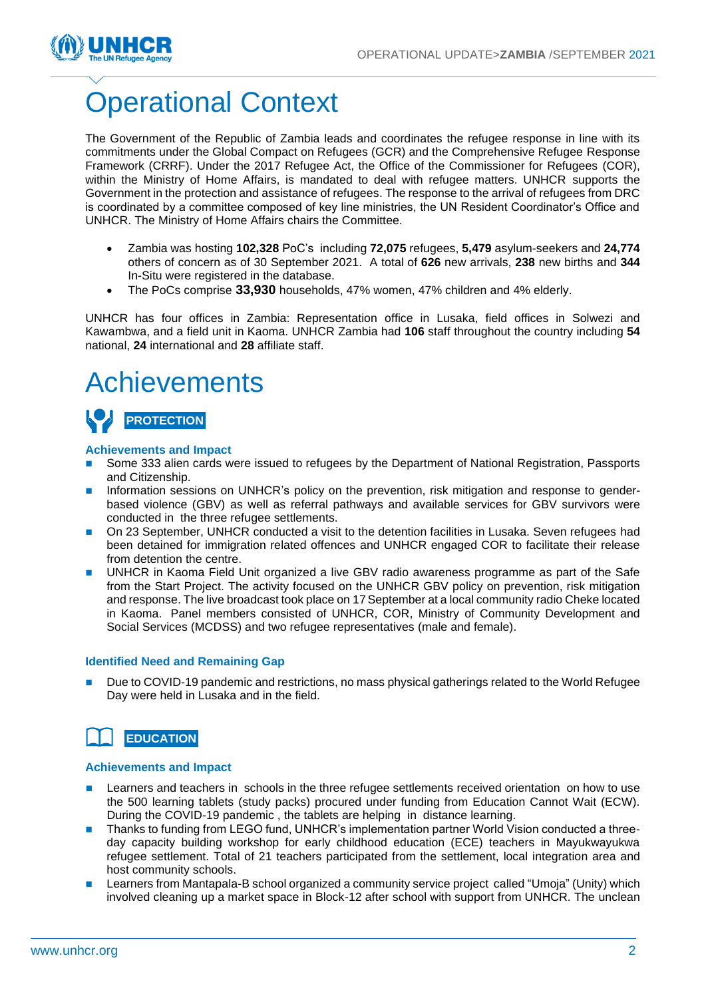

## Operational Context

The Government of the Republic of Zambia leads and coordinates the refugee response in line with its commitments under the Global Compact on Refugees (GCR) and the Comprehensive Refugee Response Framework (CRRF). Under the 2017 Refugee Act, the Office of the Commissioner for Refugees (COR), within the Ministry of Home Affairs, is mandated to deal with refugee matters. UNHCR supports the Government in the protection and assistance of refugees. The response to the arrival of refugees from DRC is coordinated by a committee composed of key line ministries, the UN Resident Coordinator's Office and UNHCR. The Ministry of Home Affairs chairs the Committee.

- Zambia was hosting **102,328** PoC's including **72,075** refugees, **5,479** asylum-seekers and **24,774** others of concern as of 30 September 2021. A total of **626** new arrivals, **238** new births and **344** In-Situ were registered in the database.
- The PoCs comprise **33,930** households, 47% women, 47% children and 4% elderly.

UNHCR has four offices in Zambia: Representation office in Lusaka, field offices in Solwezi and Kawambwa, and a field unit in Kaoma. UNHCR Zambia had **106** staff throughout the country including **54** national, **24** international and **28** affiliate staff.

### Achievements

### **PROTECTION**

#### **Achievements and Impact**

- Some 333 alien cards were issued to refugees by the Department of National Registration, Passports and Citizenship.
- Information sessions on UNHCR's policy on the prevention, risk mitigation and response to genderbased violence (GBV) as well as referral pathways and available services for GBV survivors were conducted in the three refugee settlements.
- On 23 September, UNHCR conducted a visit to the detention facilities in Lusaka. Seven refugees had been detained for immigration related offences and UNHCR engaged COR to facilitate their release from detention the centre.
- UNHCR in Kaoma Field Unit organized a live GBV radio awareness programme as part of the Safe from the Start Project. The activity focused on the UNHCR GBV policy on prevention, risk mitigation and response. The live broadcast took place on 17September at a local community radio Cheke located in Kaoma. Panel members consisted of UNHCR, COR, Ministry of Community Development and Social Services (MCDSS) and two refugee representatives (male and female).

#### **Identified Need and Remaining Gap**

Due to COVID-19 pandemic and restrictions, no mass physical gatherings related to the World Refugee Day were held in Lusaka and in the field.

### **EDUCATION**

#### **Achievements and Impact**

- Learners and teachers in schools in the three refugee settlements received orientation on how to use the 500 learning tablets (study packs) procured under funding from Education Cannot Wait (ECW). During the COVID-19 pandemic , the tablets are helping in distance learning.
- Thanks to funding from LEGO fund, UNHCR's implementation partner World Vision conducted a threeday capacity building workshop for early childhood education (ECE) teachers in Mayukwayukwa refugee settlement. Total of 21 teachers participated from the settlement, local integration area and host community schools.
- Learners from Mantapala-B school organized a community service project called "Umoja" (Unity) which involved cleaning up a market space in Block-12 after school with support from UNHCR. The unclean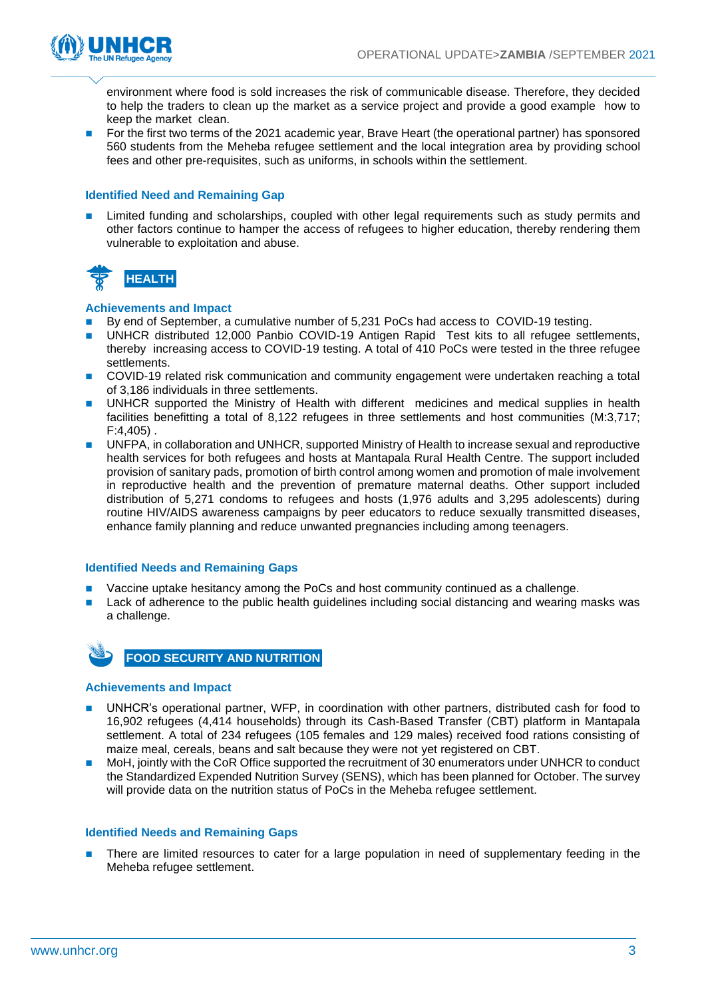

environment where food is sold increases the risk of communicable disease. Therefore, they decided to help the traders to clean up the market as a service project and provide a good example how to keep the market clean.

◼ For the first two terms of the 2021 academic year, Brave Heart (the operational partner) has sponsored 560 students from the Meheba refugee settlement and the local integration area by providing school fees and other pre-requisites, such as uniforms, in schools within the settlement.

#### **Identified Need and Remaining Gap**

Limited funding and scholarships, coupled with other legal requirements such as study permits and other factors continue to hamper the access of refugees to higher education, thereby rendering them vulnerable to exploitation and abuse.



#### **Achievements and Impact**

- By end of September, a cumulative number of 5,231 PoCs had access to COVID-19 testing.
- UNHCR distributed 12,000 Panbio COVID-19 Antigen Rapid Test kits to all refugee settlements, thereby increasing access to COVID-19 testing. A total of 410 PoCs were tested in the three refugee settlements.
- ◼ COVID-19 related risk communication and community engagement were undertaken reaching a total of 3,186 individuals in three settlements.
- UNHCR supported the Ministry of Health with different medicines and medical supplies in health facilities benefitting a total of 8,122 refugees in three settlements and host communities (M:3,717; F:4,405) .
- UNFPA, in collaboration and UNHCR, supported Ministry of Health to increase sexual and reproductive health services for both refugees and hosts at Mantapala Rural Health Centre. The support included provision of sanitary pads, promotion of birth control among women and promotion of male involvement in reproductive health and the prevention of premature maternal deaths. Other support included distribution of 5,271 condoms to refugees and hosts (1,976 adults and 3,295 adolescents) during routine HIV/AIDS awareness campaigns by peer educators to reduce sexually transmitted diseases, enhance family planning and reduce unwanted pregnancies including among teenagers.

#### **Identified Needs and Remaining Gaps**

- Vaccine uptake hesitancy among the PoCs and host community continued as a challenge.
- Lack of adherence to the public health guidelines including social distancing and wearing masks was a challenge.



**FOOD SECURITY AND NUTRITION**

#### **Achievements and Impact**

- ◼ UNHCR's operational partner, WFP, in coordination with other partners, distributed cash for food to 16,902 refugees (4,414 households) through its Cash-Based Transfer (CBT) platform in Mantapala settlement. A total of 234 refugees (105 females and 129 males) received food rations consisting of maize meal, cereals, beans and salt because they were not yet registered on CBT.
- MoH, jointly with the CoR Office supported the recruitment of 30 enumerators under UNHCR to conduct the Standardized Expended Nutrition Survey (SENS), which has been planned for October. The survey will provide data on the nutrition status of PoCs in the Meheba refugee settlement.

#### **Identified Needs and Remaining Gaps**

There are limited resources to cater for a large population in need of supplementary feeding in the Meheba refugee settlement.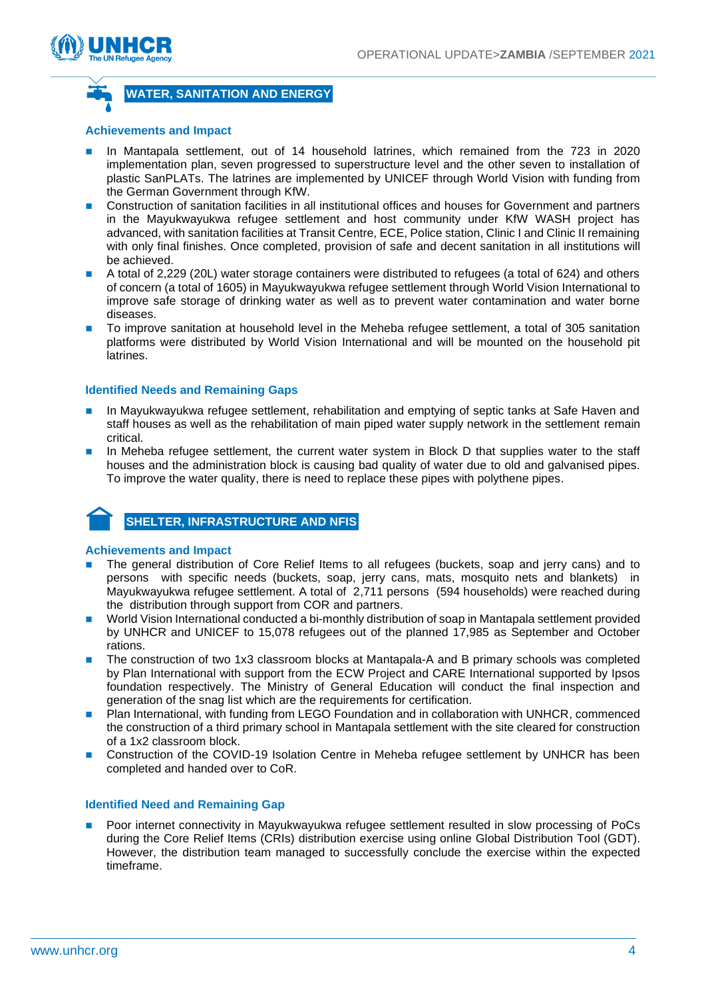



**WATER, SANITATION AND ENERGY**

#### **Achievements and Impact**

- In Mantapala settlement, out of 14 household latrines, which remained from the 723 in 2020 implementation plan, seven progressed to superstructure level and the other seven to installation of plastic SanPLATs. The latrines are implemented by UNICEF through World Vision with funding from the German Government through KfW.
- Construction of sanitation facilities in all institutional offices and houses for Government and partners in the Mayukwayukwa refugee settlement and host community under KfW WASH project has advanced, with sanitation facilities at Transit Centre, ECE, Police station, Clinic I and Clinic II remaining with only final finishes. Once completed, provision of safe and decent sanitation in all institutions will be achieved.
- A total of 2,229 (20L) water storage containers were distributed to refugees (a total of 624) and others of concern (a total of 1605) in Mayukwayukwa refugee settlement through World Vision International to improve safe storage of drinking water as well as to prevent water contamination and water borne diseases.
- To improve sanitation at household level in the Meheba refugee settlement, a total of 305 sanitation platforms were distributed by World Vision International and will be mounted on the household pit latrines.

#### **Identified Needs and Remaining Gaps**

- In Mayukwayukwa refugee settlement, rehabilitation and emptying of septic tanks at Safe Haven and staff houses as well as the rehabilitation of main piped water supply network in the settlement remain critical.
- In Meheba refugee settlement, the current water system in Block D that supplies water to the staff houses and the administration block is causing bad quality of water due to old and galvanised pipes. To improve the water quality, there is need to replace these pipes with polythene pipes.

### **SHELTER, INFRASTRUCTURE AND NFIS**

#### **Achievements and Impact**

- The general distribution of Core Relief Items to all refugees (buckets, soap and jerry cans) and to persons with specific needs (buckets, soap, jerry cans, mats, mosquito nets and blankets) in Mayukwayukwa refugee settlement. A total of 2,711 persons (594 households) were reached during the distribution through support from COR and partners.
- ◼ World Vision International conducted a bi-monthly distribution of soap in Mantapala settlement provided by UNHCR and UNICEF to 15,078 refugees out of the planned 17,985 as September and October rations.
- The construction of two 1x3 classroom blocks at Mantapala-A and B primary schools was completed by Plan International with support from the ECW Project and CARE International supported by Ipsos foundation respectively. The Ministry of General Education will conduct the final inspection and generation of the snag list which are the requirements for certification.
- Plan International, with funding from LEGO Foundation and in collaboration with UNHCR, commenced the construction of a third primary school in Mantapala settlement with the site cleared for construction of a 1x2 classroom block.
- Construction of the COVID-19 Isolation Centre in Meheba refugee settlement by UNHCR has been completed and handed over to CoR.

#### **Identified Need and Remaining Gap**

◼ Poor internet connectivity in Mayukwayukwa refugee settlement resulted in slow processing of PoCs during the Core Relief Items (CRIs) distribution exercise using online Global Distribution Tool (GDT). However, the distribution team managed to successfully conclude the exercise within the expected timeframe.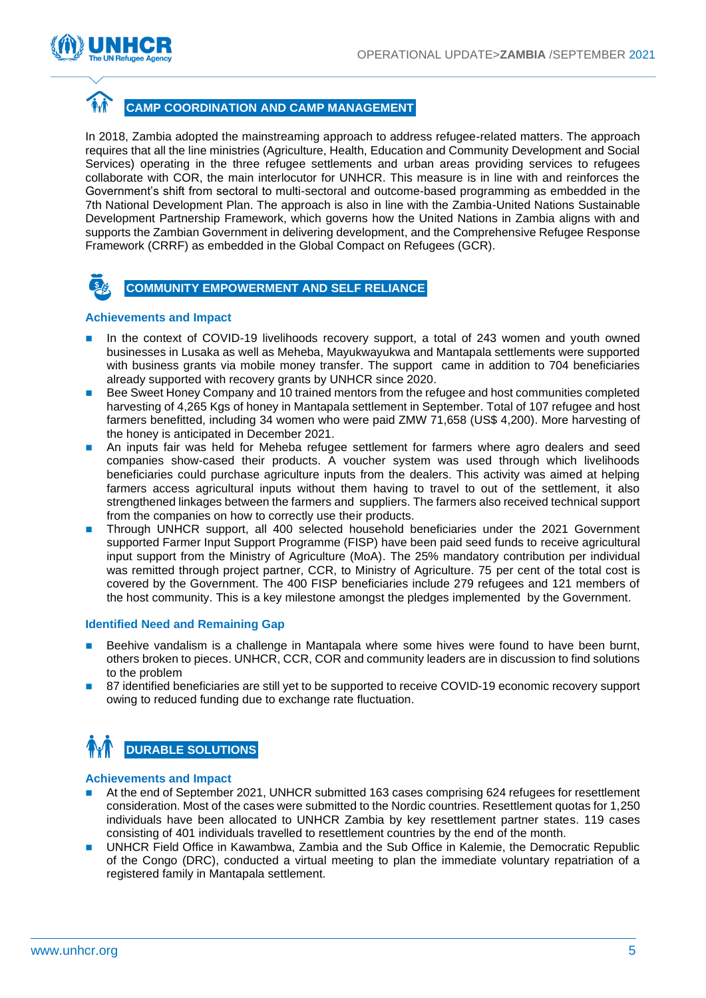

### **CAMP COORDINATION AND CAMP MANAGEMENT**

In 2018, Zambia adopted the mainstreaming approach to address refugee-related matters. The approach requires that all the line ministries (Agriculture, Health, Education and Community Development and Social Services) operating in the three refugee settlements and urban areas providing services to refugees collaborate with COR, the main interlocutor for UNHCR. This measure is in line with and reinforces the Government's shift from sectoral to multi-sectoral and outcome-based programming as embedded in the 7th National Development Plan. The approach is also in line with the Zambia-United Nations Sustainable Development Partnership Framework, which governs how the United Nations in Zambia aligns with and supports the Zambian Government in delivering development, and the Comprehensive Refugee Response Framework (CRRF) as embedded in the Global Compact on Refugees (GCR).



#### **Achievements and Impact**

- In the context of COVID-19 livelihoods recovery support, a total of 243 women and youth owned businesses in Lusaka as well as Meheba, Mayukwayukwa and Mantapala settlements were supported with business grants via mobile money transfer. The support came in addition to 704 beneficiaries already supported with recovery grants by UNHCR since 2020.
- Bee Sweet Honey Company and 10 trained mentors from the refugee and host communities completed harvesting of 4,265 Kgs of honey in Mantapala settlement in September. Total of 107 refugee and host farmers benefitted, including 34 women who were paid ZMW 71,658 (US\$ 4,200). More harvesting of the honey is anticipated in December 2021.
- An inputs fair was held for Meheba refugee settlement for farmers where agro dealers and seed companies show-cased their products. A voucher system was used through which livelihoods beneficiaries could purchase agriculture inputs from the dealers. This activity was aimed at helping farmers access agricultural inputs without them having to travel to out of the settlement, it also strengthened linkages between the farmers and suppliers. The farmers also received technical support from the companies on how to correctly use their products.
- ◼ Through UNHCR support, all 400 selected household beneficiaries under the 2021 Government supported Farmer Input Support Programme (FISP) have been paid seed funds to receive agricultural input support from the Ministry of Agriculture (MoA). The 25% mandatory contribution per individual was remitted through project partner, CCR, to Ministry of Agriculture. 75 per cent of the total cost is covered by the Government. The 400 FISP beneficiaries include 279 refugees and 121 members of the host community. This is a key milestone amongst the pledges implemented by the Government.

#### **Identified Need and Remaining Gap**

- Beehive vandalism is a challenge in Mantapala where some hives were found to have been burnt. others broken to pieces. UNHCR, CCR, COR and community leaders are in discussion to find solutions to the problem
- 87 identified beneficiaries are still yet to be supported to receive COVID-19 economic recovery support owing to reduced funding due to exchange rate fluctuation.

### **DURABLE SOLUTIONS**

#### **Achievements and Impact**

- At the end of September 2021, UNHCR submitted 163 cases comprising 624 refugees for resettlement consideration. Most of the cases were submitted to the Nordic countries. Resettlement quotas for 1,250 individuals have been allocated to UNHCR Zambia by key resettlement partner states. 119 cases consisting of 401 individuals travelled to resettlement countries by the end of the month.
- UNHCR Field Office in Kawambwa, Zambia and the Sub Office in Kalemie, the Democratic Republic of the Congo (DRC), conducted a virtual meeting to plan the immediate voluntary repatriation of a registered family in Mantapala settlement.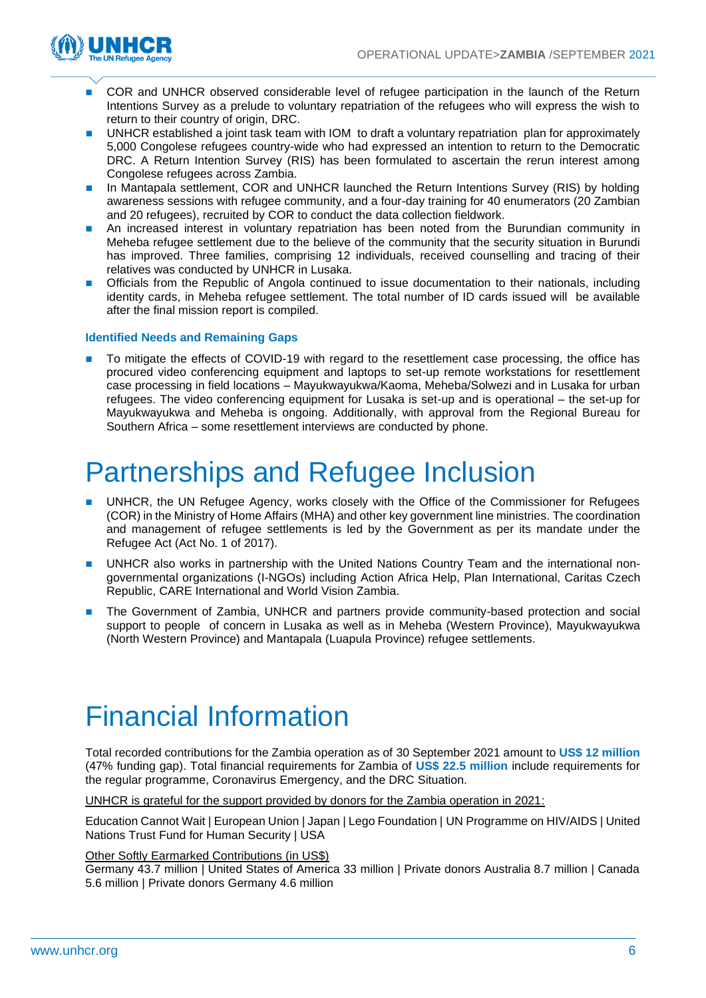

- ◼ COR and UNHCR observed considerable level of refugee participation in the launch of the Return Intentions Survey as a prelude to voluntary repatriation of the refugees who will express the wish to return to their country of origin, DRC.
- UNHCR established a joint task team with IOM to draft a voluntary repatriation plan for approximately 5,000 Congolese refugees country-wide who had expressed an intention to return to the Democratic DRC. A Return Intention Survey (RIS) has been formulated to ascertain the rerun interest among Congolese refugees across Zambia.
- In Mantapala settlement, COR and UNHCR launched the Return Intentions Survey (RIS) by holding awareness sessions with refugee community, and a four-day training for 40 enumerators (20 Zambian and 20 refugees), recruited by COR to conduct the data collection fieldwork.
- An increased interest in voluntary repatriation has been noted from the Burundian community in Meheba refugee settlement due to the believe of the community that the security situation in Burundi has improved. Three families, comprising 12 individuals, received counselling and tracing of their relatives was conducted by UNHCR in Lusaka.
- ◼ Officials from the Republic of Angola continued to issue documentation to their nationals, including identity cards, in Meheba refugee settlement. The total number of ID cards issued will be available after the final mission report is compiled.

#### **Identified Needs and Remaining Gaps**

To mitigate the effects of COVID-19 with regard to the resettlement case processing, the office has procured video conferencing equipment and laptops to set-up remote workstations for resettlement case processing in field locations – Mayukwayukwa/Kaoma, Meheba/Solwezi and in Lusaka for urban refugees. The video conferencing equipment for Lusaka is set-up and is operational – the set-up for Mayukwayukwa and Meheba is ongoing. Additionally, with approval from the Regional Bureau for Southern Africa – some resettlement interviews are conducted by phone.

### Partnerships and Refugee Inclusion

- UNHCR, the UN Refugee Agency, works closely with the Office of the Commissioner for Refugees (COR) in the Ministry of Home Affairs (MHA) and other key government line ministries. The coordination and management of refugee settlements is led by the Government as per its mandate under the Refugee Act (Act No. 1 of 2017).
- UNHCR also works in partnership with the United Nations Country Team and the international nongovernmental organizations (I-NGOs) including Action Africa Help, Plan International, Caritas Czech Republic, CARE International and World Vision Zambia.
- The Government of Zambia, UNHCR and partners provide community-based protection and social support to people of concern in Lusaka as well as in Meheba (Western Province), Mayukwayukwa (North Western Province) and Mantapala (Luapula Province) refugee settlements.

## Financial Information

Total recorded contributions for the Zambia operation as of 30 September 2021 amount to **US\$ 12 million** (47% funding gap). Total financial requirements for Zambia of **US\$ 22.5 million** include requirements for the regular programme, Coronavirus Emergency, and the DRC Situation.

UNHCR is grateful for the support provided by donors for the Zambia operation in 2021:

Education Cannot Wait | European Union | Japan | Lego Foundation | UN Programme on HIV/AIDS | United Nations Trust Fund for Human Security | USA

#### Other Softly Earmarked Contributions (in US\$)

Germany 43.7 million | United States of America 33 million | Private donors Australia 8.7 million | Canada 5.6 million | Private donors Germany 4.6 million